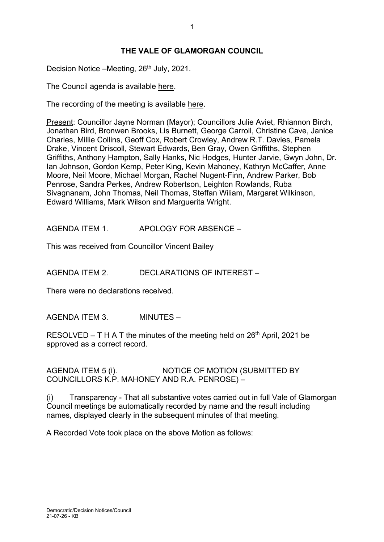## **THE VALE OF GLAMORGAN COUNCIL**

Decision Notice –Meeting, 26<sup>th</sup> July, 2021.

The Council agenda is available [here.](https://www.valeofglamorgan.gov.uk/en/our_council/Council-Structure/minutes,_agendas_and_reports/agendas/council/2021/21-07-26.aspx)

The recording of the meeting is available [here.](https://www.youtube.com/watch?v=8VZXj-ryjwg&list=PLzt4i14pgqIFIu5GcsMs1g6b5IUR90m5d&index=6&t=15544s)

Present: Councillor Jayne Norman (Mayor); Councillors Julie Aviet, Rhiannon Birch, Jonathan Bird, Bronwen Brooks, Lis Burnett, George Carroll, Christine Cave, Janice Charles, Millie Collins, Geoff Cox, Robert Crowley, Andrew R.T. Davies, Pamela Drake, Vincent Driscoll, Stewart Edwards, Ben Gray, Owen Griffiths, Stephen Griffiths, Anthony Hampton, Sally Hanks, Nic Hodges, Hunter Jarvie, Gwyn John, Dr. Ian Johnson, Gordon Kemp, Peter King, Kevin Mahoney, Kathryn McCaffer, Anne Moore, Neil Moore, Michael Morgan, Rachel Nugent-Finn, Andrew Parker, Bob Penrose, Sandra Perkes, Andrew Robertson, Leighton Rowlands, Ruba Sivagnanam, John Thomas, Neil Thomas, Steffan Wiliam, Margaret Wilkinson, Edward Williams, Mark Wilson and Marguerita Wright.

AGENDA ITEM 1. APOLOGY FOR ABSENCE –

This was received from Councillor Vincent Bailey

AGENDA ITEM 2. DECLARATIONS OF INTEREST –

There were no declarations received.

AGENDA ITEM 3. MINUTES –

RESOLVED – T H A T the minutes of the meeting held on  $26<sup>th</sup>$  April, 2021 be approved as a correct record.

AGENDA ITEM 5 (i). NOTICE OF MOTION (SUBMITTED BY COUNCILLORS K.P. MAHONEY AND R.A. PENROSE) –

(i) Transparency - That all substantive votes carried out in full Vale of Glamorgan Council meetings be automatically recorded by name and the result including names, displayed clearly in the subsequent minutes of that meeting.

A Recorded Vote took place on the above Motion as follows: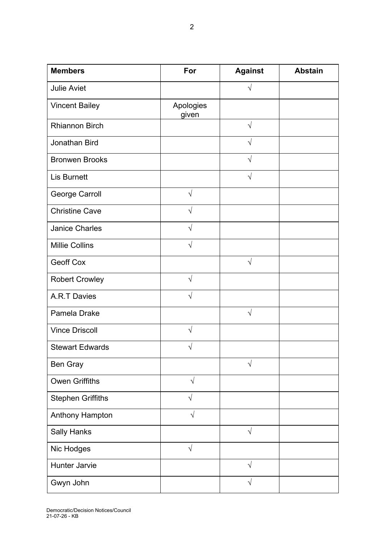| <b>Members</b>           | For                | <b>Against</b> | <b>Abstain</b> |
|--------------------------|--------------------|----------------|----------------|
| <b>Julie Aviet</b>       |                    | $\sqrt{ }$     |                |
| <b>Vincent Bailey</b>    | Apologies<br>given |                |                |
| <b>Rhiannon Birch</b>    |                    | $\sqrt{2}$     |                |
| Jonathan Bird            |                    | $\sqrt{ }$     |                |
| <b>Bronwen Brooks</b>    |                    | $\sqrt{}$      |                |
| <b>Lis Burnett</b>       |                    | $\sqrt{2}$     |                |
| <b>George Carroll</b>    | $\sqrt{}$          |                |                |
| <b>Christine Cave</b>    | $\sqrt{ }$         |                |                |
| <b>Janice Charles</b>    | $\sqrt{2}$         |                |                |
| <b>Millie Collins</b>    | $\sqrt{ }$         |                |                |
| <b>Geoff Cox</b>         |                    | $\sqrt{ }$     |                |
| <b>Robert Crowley</b>    | $\sqrt{}$          |                |                |
| A.R.T Davies             | $\sqrt{ }$         |                |                |
| Pamela Drake             |                    | $\sqrt{}$      |                |
| <b>Vince Driscoll</b>    | $\sqrt{ }$         |                |                |
| <b>Stewart Edwards</b>   | V                  |                |                |
| <b>Ben Gray</b>          |                    | V              |                |
| <b>Owen Griffiths</b>    | $\sqrt{}$          |                |                |
| <b>Stephen Griffiths</b> | $\sqrt{}$          |                |                |
| <b>Anthony Hampton</b>   | $\sqrt{}$          |                |                |
| <b>Sally Hanks</b>       |                    | $\sqrt{ }$     |                |
| Nic Hodges               | $\sqrt{}$          |                |                |
| Hunter Jarvie            |                    | $\sqrt{ }$     |                |
| Gwyn John                |                    | V              |                |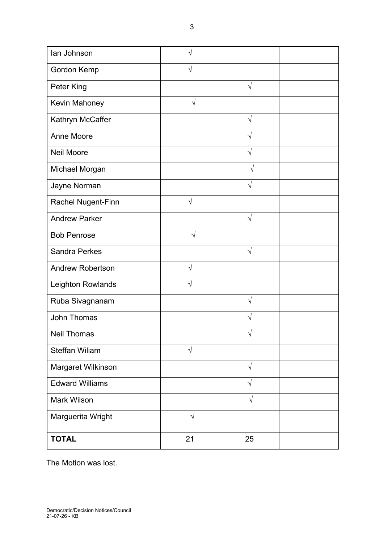| lan Johnson             | ٦          |            |  |
|-------------------------|------------|------------|--|
| Gordon Kemp             | V          |            |  |
| Peter King              |            | $\sqrt{}$  |  |
| Kevin Mahoney           | $\sqrt{}$  |            |  |
| Kathryn McCaffer        |            | $\sqrt{}$  |  |
| <b>Anne Moore</b>       |            | $\sqrt{}$  |  |
| <b>Neil Moore</b>       |            | $\sqrt{}$  |  |
| Michael Morgan          |            | $\sqrt{}$  |  |
| Jayne Norman            |            | $\sqrt{}$  |  |
| Rachel Nugent-Finn      | $\sqrt{}$  |            |  |
| <b>Andrew Parker</b>    |            | $\sqrt{2}$ |  |
| <b>Bob Penrose</b>      | $\sqrt{}$  |            |  |
| <b>Sandra Perkes</b>    |            | $\sqrt{}$  |  |
| <b>Andrew Robertson</b> | $\sqrt{}$  |            |  |
| Leighton Rowlands       | V          |            |  |
| Ruba Sivagnanam         |            | $\sqrt{}$  |  |
| <b>John Thomas</b>      |            | V          |  |
| <b>Neil Thomas</b>      |            | $\sqrt{}$  |  |
| <b>Steffan Wiliam</b>   | $\sqrt{ }$ |            |  |
| Margaret Wilkinson      |            | $\sqrt{}$  |  |
| <b>Edward Williams</b>  |            | $\sqrt{}$  |  |
| <b>Mark Wilson</b>      |            | $\sqrt{}$  |  |
| Marguerita Wright       | $\sqrt{}$  |            |  |
| <b>TOTAL</b>            | 21         | 25         |  |

The Motion was lost.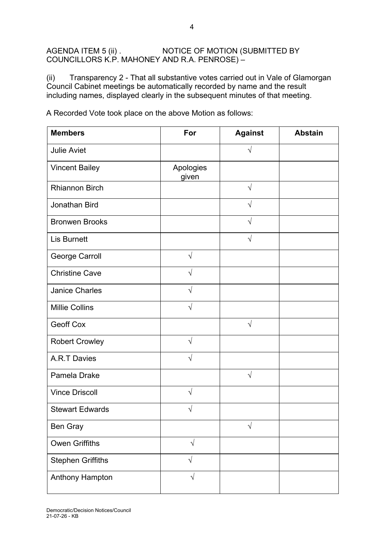## AGENDA ITEM 5 (ii) . NOTICE OF MOTION (SUBMITTED BY COUNCILLORS K.P. MAHONEY AND R.A. PENROSE) –

(ii) Transparency 2 - That all substantive votes carried out in Vale of Glamorgan Council Cabinet meetings be automatically recorded by name and the result including names, displayed clearly in the subsequent minutes of that meeting.

A Recorded Vote took place on the above Motion as follows:

| <b>Members</b>           | For                | <b>Against</b> | <b>Abstain</b> |
|--------------------------|--------------------|----------------|----------------|
| <b>Julie Aviet</b>       |                    | $\sqrt{}$      |                |
| <b>Vincent Bailey</b>    | Apologies<br>given |                |                |
| <b>Rhiannon Birch</b>    |                    | $\sqrt{}$      |                |
| Jonathan Bird            |                    | $\sqrt{}$      |                |
| <b>Bronwen Brooks</b>    |                    | $\sqrt{}$      |                |
| <b>Lis Burnett</b>       |                    | $\sqrt{}$      |                |
| George Carroll           | $\sqrt{ }$         |                |                |
| <b>Christine Cave</b>    | $\sqrt{ }$         |                |                |
| <b>Janice Charles</b>    | $\sqrt{}$          |                |                |
| <b>Millie Collins</b>    | $\sqrt{}$          |                |                |
| <b>Geoff Cox</b>         |                    | $\sqrt{}$      |                |
| <b>Robert Crowley</b>    | $\sqrt{ }$         |                |                |
| <b>A.R.T Davies</b>      | $\sqrt{}$          |                |                |
| Pamela Drake             |                    | $\sqrt{}$      |                |
| <b>Vince Driscoll</b>    | $\sqrt{}$          |                |                |
| <b>Stewart Edwards</b>   |                    |                |                |
| Ben Gray                 |                    | $\sqrt{}$      |                |
| <b>Owen Griffiths</b>    | $\sqrt{ }$         |                |                |
| <b>Stephen Griffiths</b> | $\sqrt{}$          |                |                |
| <b>Anthony Hampton</b>   | $\sqrt{ }$         |                |                |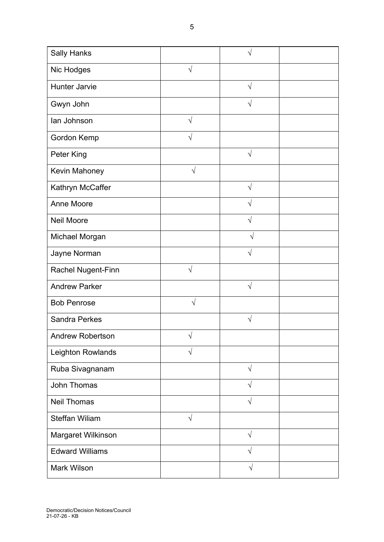| <b>Anne Moore</b>       |           | V         |  |
|-------------------------|-----------|-----------|--|
| <b>Neil Moore</b>       |           | V         |  |
| Michael Morgan          |           | V         |  |
| Jayne Norman            |           | $\sqrt{}$ |  |
| Rachel Nugent-Finn      | $\sqrt{}$ |           |  |
| <b>Andrew Parker</b>    |           | $\sqrt{}$ |  |
| <b>Bob Penrose</b>      | $\sqrt{}$ |           |  |
| <b>Sandra Perkes</b>    |           | $\sqrt{}$ |  |
| <b>Andrew Robertson</b> | $\sqrt{}$ |           |  |
| Leighton Rowlands       | $\sqrt{}$ |           |  |
| Ruba Sivagnanam         |           | $\sqrt{}$ |  |
| <b>John Thomas</b>      |           |           |  |
| <b>Neil Thomas</b>      |           | $\sqrt{}$ |  |
| <b>Steffan Wiliam</b>   | $\sqrt{}$ |           |  |
| Margaret Wilkinson      |           | $\sqrt{}$ |  |
| <b>Edward Williams</b>  |           |           |  |
| <b>Mark Wilson</b>      |           |           |  |
|                         |           |           |  |

5

Sally Hanks √

Hunter Jarvie ∧ √

Gwyn John √

Peter King √

Kathryn McCaffer │ │ │ │ │ │ √

Nic Hodges √

Ian Johnson √

Gordon Kemp  $\sqrt{2}$ 

Kevin Mahoney √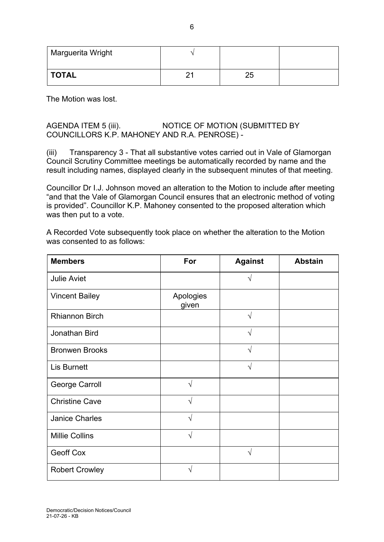| Marguerita Wright |                |    |  |
|-------------------|----------------|----|--|
| <b>TOTAL</b>      | ŋ,<br><u>_</u> | 25 |  |

The Motion was lost.

## AGENDA ITEM 5 (iii). NOTICE OF MOTION (SUBMITTED BY COUNCILLORS K.P. MAHONEY AND R.A. PENROSE) -

(iii) Transparency 3 - That all substantive votes carried out in Vale of Glamorgan Council Scrutiny Committee meetings be automatically recorded by name and the result including names, displayed clearly in the subsequent minutes of that meeting.

Councillor Dr I.J. Johnson moved an alteration to the Motion to include after meeting "and that the Vale of Glamorgan Council ensures that an electronic method of voting is provided". Councillor K.P. Mahoney consented to the proposed alteration which was then put to a vote.

A Recorded Vote subsequently took place on whether the alteration to the Motion was consented to as follows:

| <b>Members</b>        | For                | <b>Against</b> | <b>Abstain</b> |
|-----------------------|--------------------|----------------|----------------|
| <b>Julie Aviet</b>    |                    |                |                |
| <b>Vincent Bailey</b> | Apologies<br>given |                |                |
| <b>Rhiannon Birch</b> |                    | $\sqrt{}$      |                |
| Jonathan Bird         |                    | V              |                |
| <b>Bronwen Brooks</b> |                    | $\sqrt{2}$     |                |
| <b>Lis Burnett</b>    |                    | V              |                |
| George Carroll        | $\sqrt{ }$         |                |                |
| <b>Christine Cave</b> | $\sqrt{ }$         |                |                |
| <b>Janice Charles</b> | $\mathcal{N}$      |                |                |
| <b>Millie Collins</b> | N                  |                |                |
| Geoff Cox             |                    | $\sqrt{ }$     |                |
| <b>Robert Crowley</b> | J                  |                |                |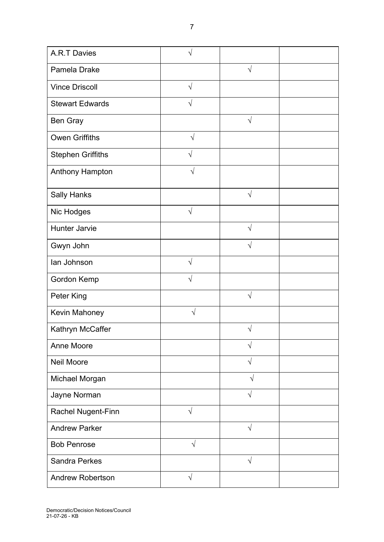| <b>A.R.T Davies</b>      | $\sqrt{}$  |            |  |
|--------------------------|------------|------------|--|
| Pamela Drake             |            | $\sqrt{}$  |  |
| <b>Vince Driscoll</b>    | $\sqrt{ }$ |            |  |
| <b>Stewart Edwards</b>   | $\sqrt{}$  |            |  |
| <b>Ben Gray</b>          |            | $\sqrt{ }$ |  |
| <b>Owen Griffiths</b>    | $\sqrt{ }$ |            |  |
| <b>Stephen Griffiths</b> | V          |            |  |
| Anthony Hampton          | $\sqrt{}$  |            |  |
| <b>Sally Hanks</b>       |            | $\sqrt{ }$ |  |
| Nic Hodges               | $\sqrt{}$  |            |  |
| <b>Hunter Jarvie</b>     |            | $\sqrt{ }$ |  |
| Gwyn John                |            |            |  |
| lan Johnson              | $\sqrt{ }$ |            |  |
| Gordon Kemp              | $\sqrt{ }$ |            |  |
| Peter King               |            | $\sqrt{ }$ |  |
| Kevin Mahoney            | $\sqrt{}$  |            |  |
| Kathryn McCaffer         |            |            |  |
| Anne Moore               |            | $\sqrt{ }$ |  |
| <b>Neil Moore</b>        |            | $\sqrt{}$  |  |
| Michael Morgan           |            | $\sqrt{ }$ |  |
| Jayne Norman             |            | $\sqrt{ }$ |  |
| Rachel Nugent-Finn       | $\sqrt{ }$ |            |  |
| <b>Andrew Parker</b>     |            | $\sqrt{ }$ |  |
| <b>Bob Penrose</b>       | $\sqrt{}$  |            |  |
| <b>Sandra Perkes</b>     |            | $\sqrt{ }$ |  |
| <b>Andrew Robertson</b>  | $\sqrt{ }$ |            |  |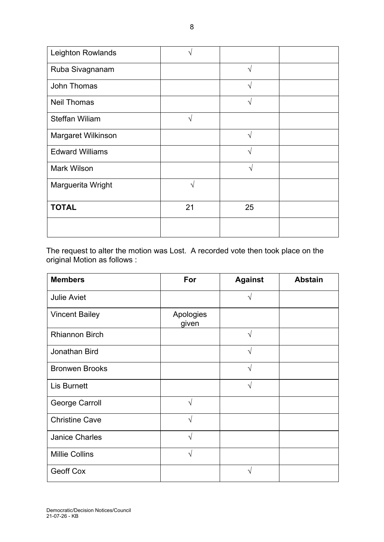| Leighton Rowlands      | N             |            |  |
|------------------------|---------------|------------|--|
| Ruba Sivagnanam        |               | $\sqrt{ }$ |  |
| John Thomas            |               | $\sqrt{ }$ |  |
| <b>Neil Thomas</b>     |               | $\sqrt{ }$ |  |
| <b>Steffan Wiliam</b>  | $\mathcal{N}$ |            |  |
| Margaret Wilkinson     |               | $\sqrt{ }$ |  |
| <b>Edward Williams</b> |               | $\sqrt{ }$ |  |
| <b>Mark Wilson</b>     |               | $\sqrt{}$  |  |
| Marguerita Wright      | ٦             |            |  |
| <b>TOTAL</b>           | 21            | 25         |  |
|                        |               |            |  |

The request to alter the motion was Lost. A recorded vote then took place on the original Motion as follows :

| <b>Members</b>        | For                | <b>Against</b> | <b>Abstain</b> |
|-----------------------|--------------------|----------------|----------------|
| <b>Julie Aviet</b>    |                    | V              |                |
| <b>Vincent Bailey</b> | Apologies<br>given |                |                |
| <b>Rhiannon Birch</b> |                    |                |                |
| Jonathan Bird         |                    | N              |                |
| <b>Bronwen Brooks</b> |                    | V              |                |
| <b>Lis Burnett</b>    |                    | V              |                |
| George Carroll        | $\sqrt{ }$         |                |                |
| <b>Christine Cave</b> | $\sqrt{ }$         |                |                |
| <b>Janice Charles</b> | $\sqrt{ }$         |                |                |
| <b>Millie Collins</b> | $\sqrt{ }$         |                |                |
| <b>Geoff Cox</b>      |                    |                |                |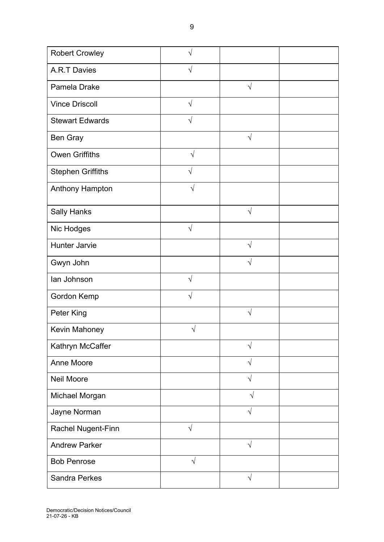| <b>Robert Crowley</b>    |            |            |  |
|--------------------------|------------|------------|--|
| A.R.T Davies             | V          |            |  |
| Pamela Drake             |            | $\sqrt{ }$ |  |
| <b>Vince Driscoll</b>    | $\sqrt{}$  |            |  |
| <b>Stewart Edwards</b>   | $\sqrt{ }$ |            |  |
| Ben Gray                 |            | $\sqrt{}$  |  |
| <b>Owen Griffiths</b>    | $\sqrt{}$  |            |  |
| <b>Stephen Griffiths</b> | $\sqrt{ }$ |            |  |
| <b>Anthony Hampton</b>   | V          |            |  |
| <b>Sally Hanks</b>       |            | $\sqrt{ }$ |  |
| Nic Hodges               | $\sqrt{ }$ |            |  |
| <b>Hunter Jarvie</b>     |            | V          |  |
| Gwyn John                |            | V          |  |
| lan Johnson              | $\sqrt{ }$ |            |  |
| Gordon Kemp              | $\sqrt{}$  |            |  |
| Peter King               |            | V          |  |
| Kevin Mahoney            |            |            |  |
| Kathryn McCaffer         |            | $\sqrt{}$  |  |
| Anne Moore               |            | $\sqrt{ }$ |  |
| <b>Neil Moore</b>        |            | $\sqrt{}$  |  |
| Michael Morgan           |            | $\sqrt{ }$ |  |
| Jayne Norman             |            | $\sqrt{ }$ |  |
| Rachel Nugent-Finn       | $\sqrt{}$  |            |  |
| <b>Andrew Parker</b>     |            | $\sqrt{ }$ |  |
| <b>Bob Penrose</b>       | $\sqrt{}$  |            |  |
| <b>Sandra Perkes</b>     |            | $\sqrt{}$  |  |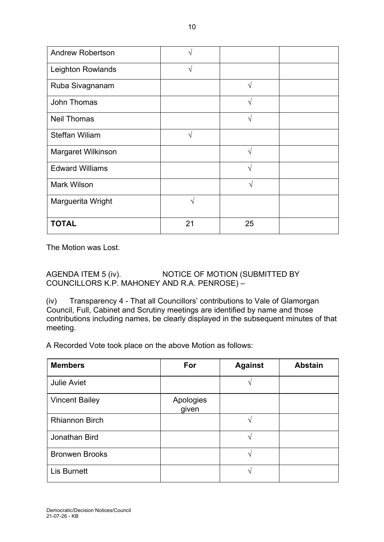| <b>Andrew Robertson</b> | N          |            |  |
|-------------------------|------------|------------|--|
| Leighton Rowlands       | $\sqrt{ }$ |            |  |
| Ruba Sivagnanam         |            | $\sqrt{ }$ |  |
| <b>John Thomas</b>      |            | V          |  |
| <b>Neil Thomas</b>      |            | $\sqrt{ }$ |  |
| <b>Steffan Wiliam</b>   | N          |            |  |
| Margaret Wilkinson      |            | V          |  |
| <b>Edward Williams</b>  |            | $\sqrt{ }$ |  |
| <b>Mark Wilson</b>      |            | V          |  |
| Marguerita Wright       | ٦          |            |  |
| <b>TOTAL</b>            | 21         | 25         |  |

The Motion was Lost.

AGENDA ITEM 5 (iv). NOTICE OF MOTION (SUBMITTED BY COUNCILLORS K.P. MAHONEY AND R.A. PENROSE) –

(iv) Transparency 4 - That all Councillors' contributions to Vale of Glamorgan Council, Full, Cabinet and Scrutiny meetings are identified by name and those contributions including names, be clearly displayed in the subsequent minutes of that meeting.

A Recorded Vote took place on the above Motion as follows:

| <b>Members</b>        | For                | <b>Against</b> | <b>Abstain</b> |
|-----------------------|--------------------|----------------|----------------|
| <b>Julie Aviet</b>    |                    |                |                |
| <b>Vincent Bailey</b> | Apologies<br>given |                |                |
| <b>Rhiannon Birch</b> |                    |                |                |
| Jonathan Bird         |                    |                |                |
| <b>Bronwen Brooks</b> |                    | ٦              |                |
| Lis Burnett           |                    |                |                |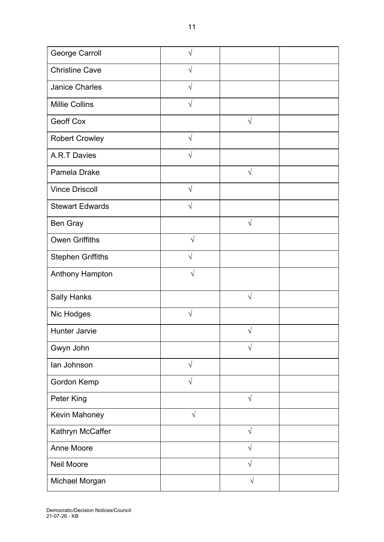| George Carroll           | V          |            |  |
|--------------------------|------------|------------|--|
| <b>Christine Cave</b>    | $\sqrt{ }$ |            |  |
| <b>Janice Charles</b>    | $\sqrt{}$  |            |  |
| <b>Millie Collins</b>    | $\sqrt{ }$ |            |  |
| Geoff Cox                |            | $\sqrt{ }$ |  |
| <b>Robert Crowley</b>    | $\sqrt{2}$ |            |  |
| <b>A.R.T Davies</b>      | $\sqrt{}$  |            |  |
| Pamela Drake             |            | $\sqrt{2}$ |  |
| <b>Vince Driscoll</b>    | $\sqrt{}$  |            |  |
| <b>Stewart Edwards</b>   | $\sqrt{ }$ |            |  |
| Ben Gray                 |            | $\sqrt{}$  |  |
| <b>Owen Griffiths</b>    | $\sqrt{2}$ |            |  |
| <b>Stephen Griffiths</b> | $\sqrt{}$  |            |  |
| Anthony Hampton          | $\sqrt{}$  |            |  |
| <b>Sally Hanks</b>       |            | $\sqrt{}$  |  |
| Nic Hodges               | $\sqrt{}$  |            |  |
| <b>Hunter Jarvie</b>     |            | V          |  |
| Gwyn John                |            | $\sqrt{ }$ |  |
| lan Johnson              | $\sqrt{ }$ |            |  |
| Gordon Kemp              | $\sqrt{}$  |            |  |
| Peter King               |            | $\sqrt{ }$ |  |
| Kevin Mahoney            | $\sqrt{}$  |            |  |
| Kathryn McCaffer         |            | $\sqrt{}$  |  |
| Anne Moore               |            | $\sqrt{}$  |  |
| Neil Moore               |            | $\sqrt{}$  |  |
| Michael Morgan           |            |            |  |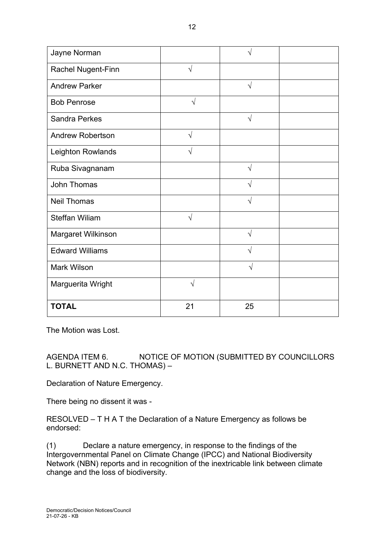| Jayne Norman            |            |            |  |
|-------------------------|------------|------------|--|
| Rachel Nugent-Finn      | $\sqrt{ }$ |            |  |
| <b>Andrew Parker</b>    |            | $\sqrt{ }$ |  |
| <b>Bob Penrose</b>      | $\sqrt{}$  |            |  |
| <b>Sandra Perkes</b>    |            | $\sqrt{ }$ |  |
| <b>Andrew Robertson</b> | $\sqrt{}$  |            |  |
| Leighton Rowlands       | $\sqrt{ }$ |            |  |
| Ruba Sivagnanam         |            | $\sqrt{ }$ |  |
| John Thomas             |            | $\sqrt{ }$ |  |
| <b>Neil Thomas</b>      |            | $\sqrt{}$  |  |
| <b>Steffan Wiliam</b>   | $\sqrt{}$  |            |  |
| Margaret Wilkinson      |            | $\sqrt{ }$ |  |
| <b>Edward Williams</b>  |            | $\sqrt{}$  |  |
| <b>Mark Wilson</b>      |            | V          |  |
| Marguerita Wright       | $\sqrt{}$  |            |  |
| <b>TOTAL</b>            | 21         | 25         |  |

The Motion was Lost.

AGENDA ITEM 6. NOTICE OF MOTION (SUBMITTED BY COUNCILLORS L. BURNETT AND N.C. THOMAS) –

Declaration of Nature Emergency.

There being no dissent it was -

RESOLVED – T H A T the Declaration of a Nature Emergency as follows be endorsed:

(1) Declare a nature emergency, in response to the findings of the Intergovernmental Panel on Climate Change (IPCC) and National Biodiversity Network (NBN) reports and in recognition of the inextricable link between climate change and the loss of biodiversity.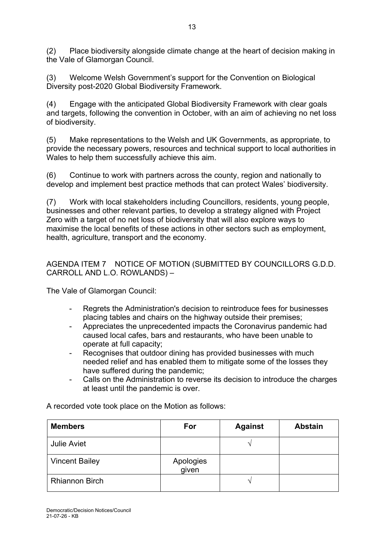(2) Place biodiversity alongside climate change at the heart of decision making in the Vale of Glamorgan Council.

13

(3) Welcome Welsh Government's support for the Convention on Biological Diversity post-2020 Global Biodiversity Framework.

(4) Engage with the anticipated Global Biodiversity Framework with clear goals and targets, following the convention in October, with an aim of achieving no net loss of biodiversity.

(5) Make representations to the Welsh and UK Governments, as appropriate, to provide the necessary powers, resources and technical support to local authorities in Wales to help them successfully achieve this aim.

(6) Continue to work with partners across the county, region and nationally to develop and implement best practice methods that can protect Wales' biodiversity.

(7) Work with local stakeholders including Councillors, residents, young people, businesses and other relevant parties, to develop a strategy aligned with Project Zero with a target of no net loss of biodiversity that will also explore ways to maximise the local benefits of these actions in other sectors such as employment, health, agriculture, transport and the economy.

AGENDA ITEM 7 NOTICE OF MOTION (SUBMITTED BY COUNCILLORS G.D.D. CARROLL AND L.O. ROWLANDS) –

The Vale of Glamorgan Council:

- Regrets the Administration's decision to reintroduce fees for businesses placing tables and chairs on the highway outside their premises;
- Appreciates the unprecedented impacts the Coronavirus pandemic had caused local cafes, bars and restaurants, who have been unable to operate at full capacity;
- Recognises that outdoor dining has provided businesses with much needed relief and has enabled them to mitigate some of the losses they have suffered during the pandemic;
- Calls on the Administration to reverse its decision to introduce the charges at least until the pandemic is over.

| <b>Members</b>        | For                | <b>Against</b> | <b>Abstain</b> |
|-----------------------|--------------------|----------------|----------------|
| <b>Julie Aviet</b>    |                    |                |                |
| <b>Vincent Bailey</b> | Apologies<br>given |                |                |
| <b>Rhiannon Birch</b> |                    |                |                |

A recorded vote took place on the Motion as follows: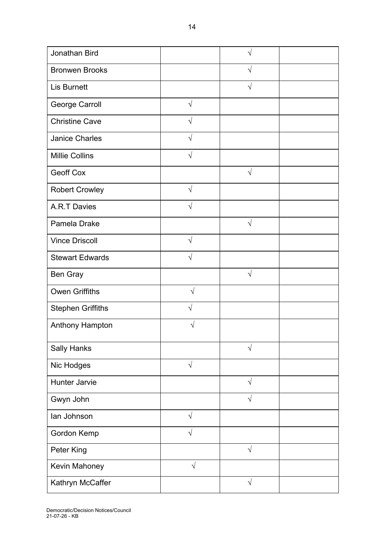| Jonathan Bird            |            |            |  |
|--------------------------|------------|------------|--|
| <b>Bronwen Brooks</b>    |            | $\sqrt{}$  |  |
| <b>Lis Burnett</b>       |            | $\sqrt{}$  |  |
| George Carroll           | $\sqrt{ }$ |            |  |
| <b>Christine Cave</b>    | V          |            |  |
| <b>Janice Charles</b>    | $\sqrt{}$  |            |  |
| <b>Millie Collins</b>    | $\sqrt{ }$ |            |  |
| <b>Geoff Cox</b>         |            | $\sqrt{}$  |  |
| <b>Robert Crowley</b>    | $\sqrt{}$  |            |  |
| <b>A.R.T Davies</b>      | $\sqrt{}$  |            |  |
| Pamela Drake             |            | $\sqrt{ }$ |  |
| <b>Vince Driscoll</b>    | $\sqrt{ }$ |            |  |
| <b>Stewart Edwards</b>   | V          |            |  |
| <b>Ben Gray</b>          |            | $\sqrt{ }$ |  |
| <b>Owen Griffiths</b>    | $\sqrt{}$  |            |  |
| <b>Stephen Griffiths</b> | $\sqrt{}$  |            |  |
| Anthony Hampton          | $\sqrt{}$  |            |  |
| <b>Sally Hanks</b>       |            | $\sqrt{}$  |  |
| Nic Hodges               | $\sqrt{}$  |            |  |
| <b>Hunter Jarvie</b>     |            | $\sqrt{2}$ |  |
| Gwyn John                |            | $\sqrt{}$  |  |
| lan Johnson              | $\sqrt{}$  |            |  |
| Gordon Kemp              | $\sqrt{ }$ |            |  |
| Peter King               |            | $\sqrt{}$  |  |
| Kevin Mahoney            | $\sqrt{}$  |            |  |
| Kathryn McCaffer         |            | $\sqrt{}$  |  |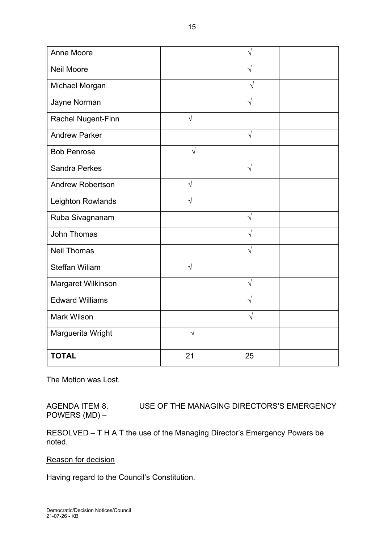| Anne Moore              |            |            |  |
|-------------------------|------------|------------|--|
| <b>Neil Moore</b>       |            |            |  |
| Michael Morgan          |            | $\sqrt{ }$ |  |
| Jayne Norman            |            | $\sqrt{}$  |  |
| Rachel Nugent-Finn      | $\sqrt{}$  |            |  |
| <b>Andrew Parker</b>    |            | $\sqrt{}$  |  |
| <b>Bob Penrose</b>      | $\sqrt{}$  |            |  |
| <b>Sandra Perkes</b>    |            | $\sqrt{ }$ |  |
| <b>Andrew Robertson</b> | $\sqrt{ }$ |            |  |
| Leighton Rowlands       | $\sqrt{ }$ |            |  |
| Ruba Sivagnanam         |            | $\sqrt{ }$ |  |
| <b>John Thomas</b>      |            | $\sqrt{}$  |  |
| <b>Neil Thomas</b>      |            | $\sqrt{}$  |  |
| <b>Steffan Wiliam</b>   | $\sqrt{}$  |            |  |
| Margaret Wilkinson      |            | $\sqrt{}$  |  |
| <b>Edward Williams</b>  |            | $\sqrt{}$  |  |
| <b>Mark Wilson</b>      |            | $\sqrt{ }$ |  |
| Marguerita Wright       | $\sqrt{}$  |            |  |
| <b>TOTAL</b>            | 21         | 25         |  |

The Motion was Lost.

AGENDA ITEM 8. USE OF THE MANAGING DIRECTORS'S EMERGENCY POWERS (MD) –

RESOLVED – T H A T the use of the Managing Director's Emergency Powers be noted.

Reason for decision

Having regard to the Council's Constitution.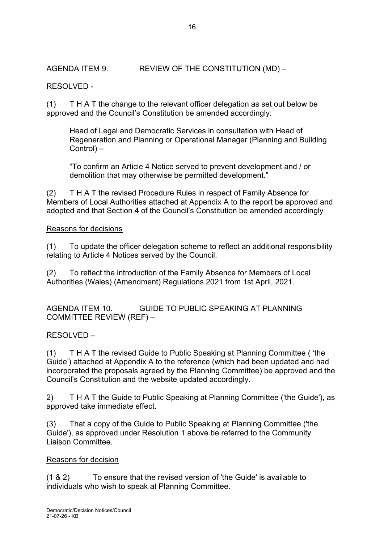AGENDA ITEM 9. REVIEW OF THE CONSTITUTION (MD) –

# RESOLVED -

(1) T H A T the change to the relevant officer delegation as set out below be approved and the Council's Constitution be amended accordingly:

Head of Legal and Democratic Services in consultation with Head of Regeneration and Planning or Operational Manager (Planning and Building Control) –

"To confirm an Article 4 Notice served to prevent development and / or demolition that may otherwise be permitted development."

(2) T H A T the revised Procedure Rules in respect of Family Absence for Members of Local Authorities attached at Appendix A to the report be approved and adopted and that Section 4 of the Council's Constitution be amended accordingly

## Reasons for decisions

(1) To update the officer delegation scheme to reflect an additional responsibility relating to Article 4 Notices served by the Council.

(2) To reflect the introduction of the Family Absence for Members of Local Authorities (Wales) (Amendment) Regulations 2021 from 1st April, 2021.

AGENDA ITEM 10. GUIDE TO PUBLIC SPEAKING AT PLANNING COMMITTEE REVIEW (REF) –

RESOLVED –

(1) T H A T the revised Guide to Public Speaking at Planning Committee ( 'the Guide') attached at Appendix A to the reference (which had been updated and had incorporated the proposals agreed by the Planning Committee) be approved and the Council's Constitution and the website updated accordingly.

2) T H A T the Guide to Public Speaking at Planning Committee ('the Guide'), as approved take immediate effect.

(3) That a copy of the Guide to Public Speaking at Planning Committee ('the Guide'), as approved under Resolution 1 above be referred to the Community Liaison Committee.

## Reasons for decision

(1 & 2) To ensure that the revised version of 'the Guide' is available to individuals who wish to speak at Planning Committee.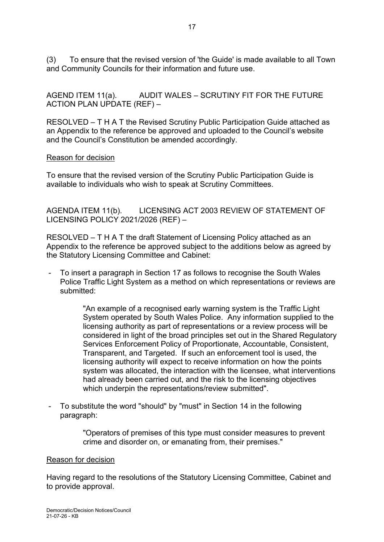(3) To ensure that the revised version of 'the Guide' is made available to all Town and Community Councils for their information and future use.

AGEND ITEM 11(a). AUDIT WALES – SCRUTINY FIT FOR THE FUTURE ACTION PLAN UPDATE (REF) –

RESOLVED – T H A T the Revised Scrutiny Public Participation Guide attached as an Appendix to the reference be approved and uploaded to the Council's website and the Council's Constitution be amended accordingly.

#### Reason for decision

To ensure that the revised version of the Scrutiny Public Participation Guide is available to individuals who wish to speak at Scrutiny Committees.

AGENDA ITEM 11(b). LICENSING ACT 2003 REVIEW OF STATEMENT OF LICENSING POLICY 2021/2026 (REF) –

RESOLVED – T H A T the draft Statement of Licensing Policy attached as an Appendix to the reference be approved subject to the additions below as agreed by the Statutory Licensing Committee and Cabinet:

To insert a paragraph in Section 17 as follows to recognise the South Wales Police Traffic Light System as a method on which representations or reviews are submitted:

> "An example of a recognised early warning system is the Traffic Light System operated by South Wales Police. Any information supplied to the licensing authority as part of representations or a review process will be considered in light of the broad principles set out in the Shared Regulatory Services Enforcement Policy of Proportionate, Accountable, Consistent, Transparent, and Targeted. If such an enforcement tool is used, the licensing authority will expect to receive information on how the points system was allocated, the interaction with the licensee, what interventions had already been carried out, and the risk to the licensing objectives which underpin the representations/review submitted".

- To substitute the word "should" by "must" in Section 14 in the following paragraph:

> "Operators of premises of this type must consider measures to prevent crime and disorder on, or emanating from, their premises."

#### Reason for decision

Having regard to the resolutions of the Statutory Licensing Committee, Cabinet and to provide approval.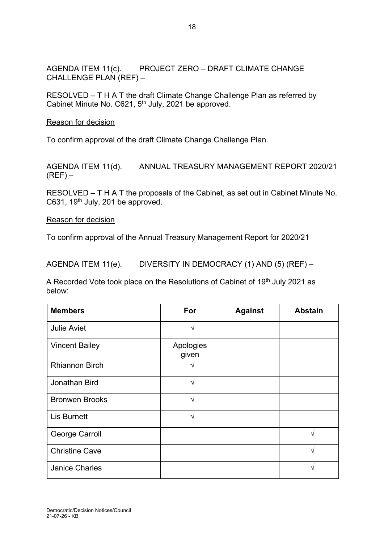AGENDA ITEM 11(c). PROJECT ZERO – DRAFT CLIMATE CHANGE CHALLENGE PLAN (REF) –

RESOLVED – T H A T the draft Climate Change Challenge Plan as referred by Cabinet Minute No. C621,  $5<sup>th</sup>$  July, 2021 be approved.

Reason for decision

To confirm approval of the draft Climate Change Challenge Plan.

AGENDA ITEM 11(d). ANNUAL TREASURY MANAGEMENT REPORT 2020/21  $(REF)$  –

RESOLVED – T H A T the proposals of the Cabinet, as set out in Cabinet Minute No. C631, 19<sup>th</sup> July, 201 be approved.

Reason for decision

To confirm approval of the Annual Treasury Management Report for 2020/21

AGENDA ITEM 11(e). DIVERSITY IN DEMOCRACY (1) AND (5) (REF) –

A Recorded Vote took place on the Resolutions of Cabinet of 19<sup>th</sup> July 2021 as below:

| <b>Members</b>        | For                | <b>Against</b> | <b>Abstain</b> |
|-----------------------|--------------------|----------------|----------------|
| <b>Julie Aviet</b>    | ٦                  |                |                |
| <b>Vincent Bailey</b> | Apologies<br>given |                |                |
| <b>Rhiannon Birch</b> |                    |                |                |
| Jonathan Bird         | V                  |                |                |
| <b>Bronwen Brooks</b> | $\sqrt{}$          |                |                |
| <b>Lis Burnett</b>    | ٦                  |                |                |
| George Carroll        |                    |                | ٦Ι             |
| <b>Christine Cave</b> |                    |                | N              |
| <b>Janice Charles</b> |                    |                |                |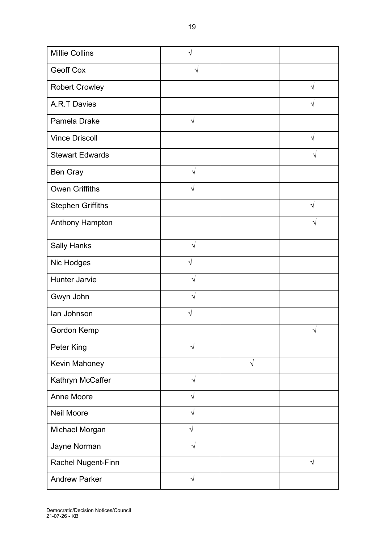| <b>Geoff Cox</b>         | V          |           |           |
|--------------------------|------------|-----------|-----------|
| <b>Robert Crowley</b>    |            |           | $\sqrt{}$ |
| <b>A.R.T Davies</b>      |            |           | V         |
| Pamela Drake             | $\sqrt{ }$ |           |           |
| <b>Vince Driscoll</b>    |            |           | $\sqrt{}$ |
| <b>Stewart Edwards</b>   |            |           | V         |
| Ben Gray                 | $\sqrt{ }$ |           |           |
| <b>Owen Griffiths</b>    | $\sqrt{}$  |           |           |
| <b>Stephen Griffiths</b> |            |           |           |
| Anthony Hampton          |            |           | N         |
| <b>Sally Hanks</b>       | $\sqrt{ }$ |           |           |
| Nic Hodges               | $\sqrt{}$  |           |           |
| <b>Hunter Jarvie</b>     | V          |           |           |
| Gwyn John                |            |           |           |
| lan Johnson              |            |           |           |
| Gordon Kemp              |            |           | $\sqrt{}$ |
| Peter King               | $\sqrt{}$  |           |           |
| Kevin Mahoney            |            | $\sqrt{}$ |           |
| Kathryn McCaffer         | $\sqrt{ }$ |           |           |
| Anne Moore               | $\sqrt{}$  |           |           |
| <b>Neil Moore</b>        | $\sqrt{}$  |           |           |
| Michael Morgan           | $\sqrt{ }$ |           |           |
| Jayne Norman             | $\sqrt{ }$ |           |           |
| Rachel Nugent-Finn       |            |           | $\sqrt{}$ |
| <b>Andrew Parker</b>     | $\sqrt{}$  |           |           |

Millie Collins

 $\sqrt{ }$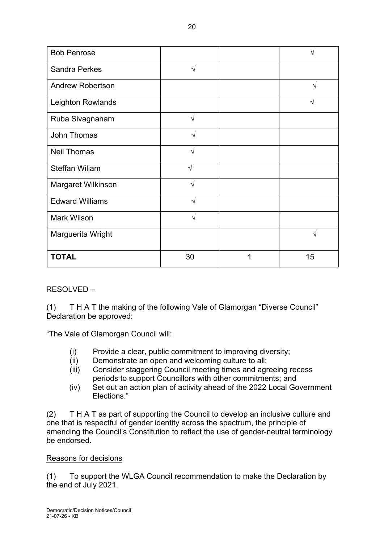| <b>Bob Penrose</b>      |            |   |           |
|-------------------------|------------|---|-----------|
| <b>Sandra Perkes</b>    | V          |   |           |
| <b>Andrew Robertson</b> |            |   | $\sqrt{}$ |
| Leighton Rowlands       |            |   |           |
| Ruba Sivagnanam         | $\sqrt{2}$ |   |           |
| John Thomas             | N          |   |           |
| <b>Neil Thomas</b>      | ا^         |   |           |
| <b>Steffan Wiliam</b>   | $\sqrt{}$  |   |           |
| Margaret Wilkinson      | N          |   |           |
| <b>Edward Williams</b>  | $\sqrt{}$  |   |           |
| <b>Mark Wilson</b>      | V          |   |           |
| Marguerita Wright       |            |   | ٦         |
| <b>TOTAL</b>            | 30         | 1 | 15        |

## RESOLVED –

(1) T H A T the making of the following Vale of Glamorgan "Diverse Council" Declaration be approved:

"The Vale of Glamorgan Council will:

- (i) Provide a clear, public commitment to improving diversity;
- (ii) Demonstrate an open and welcoming culture to all;
- (iii) Consider staggering Council meeting times and agreeing recess periods to support Councillors with other commitments; and
- (iv) Set out an action plan of activity ahead of the 2022 Local Government Elections."

(2) T H A T as part of supporting the Council to develop an inclusive culture and one that is respectful of gender identity across the spectrum, the principle of amending the Council's Constitution to reflect the use of gender-neutral terminology be endorsed.

## Reasons for decisions

(1) To support the WLGA Council recommendation to make the Declaration by the end of July 2021.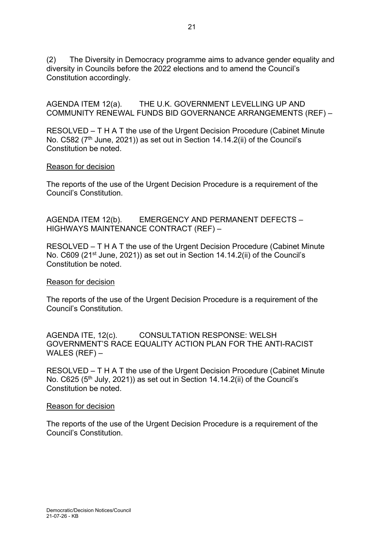(2) The Diversity in Democracy programme aims to advance gender equality and diversity in Councils before the 2022 elections and to amend the Council's Constitution accordingly.

AGENDA ITEM 12(a). THE U.K. GOVERNMENT LEVELLING UP AND COMMUNITY RENEWAL FUNDS BID GOVERNANCE ARRANGEMENTS (REF) –

RESOLVED – T H A T the use of the Urgent Decision Procedure (Cabinet Minute No. C582 (7<sup>th</sup> June, 2021)) as set out in Section 14.14.2(ii) of the Council's Constitution be noted.

#### Reason for decision

The reports of the use of the Urgent Decision Procedure is a requirement of the Council's Constitution.

AGENDA ITEM 12(b). EMERGENCY AND PERMANENT DEFECTS – HIGHWAYS MAINTENANCE CONTRACT (REF) –

RESOLVED – T H A T the use of the Urgent Decision Procedure (Cabinet Minute No. C609 (21<sup>st</sup> June, 2021)) as set out in Section 14.14.2(ii) of the Council's Constitution be noted.

## Reason for decision

The reports of the use of the Urgent Decision Procedure is a requirement of the Council's Constitution.

AGENDA ITE, 12(c). CONSULTATION RESPONSE: WELSH GOVERNMENT'S RACE EQUALITY ACTION PLAN FOR THE ANTI-RACIST WALES (REF) –

RESOLVED – T H A T the use of the Urgent Decision Procedure (Cabinet Minute No. C625 (5<sup>th</sup> July, 2021)) as set out in Section 14.14.2(ii) of the Council's Constitution be noted.

#### Reason for decision

The reports of the use of the Urgent Decision Procedure is a requirement of the Council's Constitution.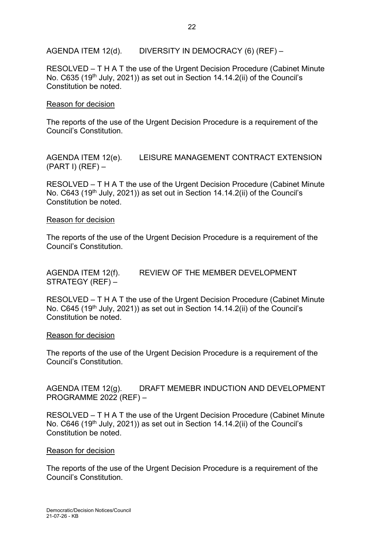AGENDA ITEM 12(d). DIVERSITY IN DEMOCRACY (6) (REF) –

RESOLVED – T H A T the use of the Urgent Decision Procedure (Cabinet Minute No. C635 (19<sup>th</sup> July, 2021)) as set out in Section 14.14.2(ii) of the Council's Constitution be noted.

## Reason for decision

The reports of the use of the Urgent Decision Procedure is a requirement of the Council's Constitution.

AGENDA ITEM 12(e). LEISURE MANAGEMENT CONTRACT EXTENSION  $(PART I) (REF) -$ 

RESOLVED – T H A T the use of the Urgent Decision Procedure (Cabinet Minute No.  $C643$  (19<sup>th</sup> July, 2021)) as set out in Section 14.14.2(ii) of the Council's Constitution be noted.

#### Reason for decision

The reports of the use of the Urgent Decision Procedure is a requirement of the Council's Constitution.

AGENDA ITEM 12(f). REVIEW OF THE MEMBER DEVELOPMENT STRATEGY (REF) –

RESOLVED – T H A T the use of the Urgent Decision Procedure (Cabinet Minute No. C645 (19<sup>th</sup> July, 2021)) as set out in Section 14.14.2(ii) of the Council's Constitution be noted.

#### Reason for decision

The reports of the use of the Urgent Decision Procedure is a requirement of the Council's Constitution.

AGENDA ITEM 12(g). DRAFT MEMEBR INDUCTION AND DEVELOPMENT PROGRAMME 2022 (REF) –

RESOLVED – T H A T the use of the Urgent Decision Procedure (Cabinet Minute No. C646 (19<sup>th</sup> July, 2021)) as set out in Section 14.14.2(ii) of the Council's Constitution be noted.

## Reason for decision

The reports of the use of the Urgent Decision Procedure is a requirement of the Council's Constitution.